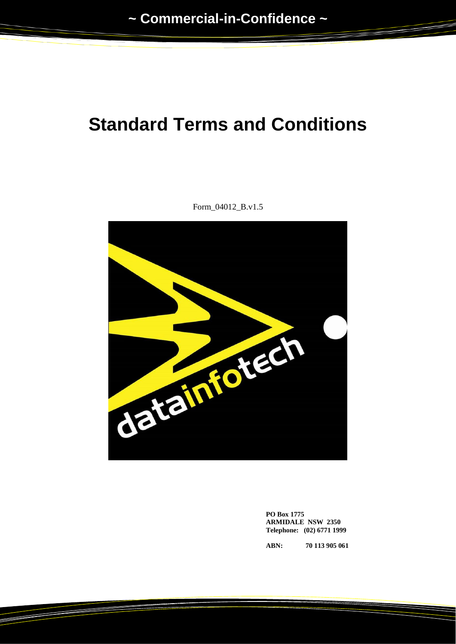# **Standard Terms and Conditions**



Form\_04012\_B.v1.5

**PO Box 1775 ARMIDALE NSW 2350 Telephone: (02) 6771 1999**

**ABN: 70 113 905 061**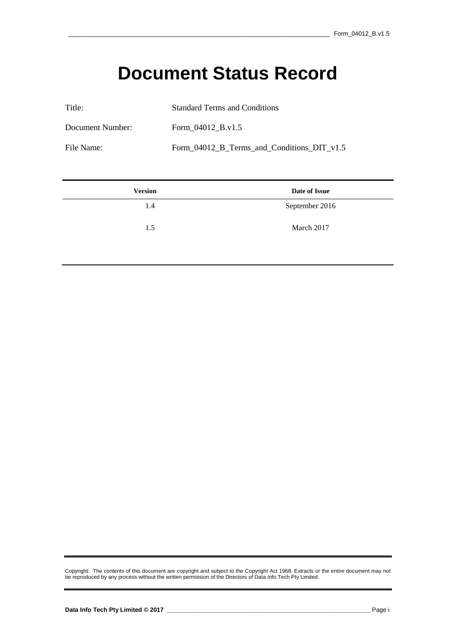## **Document Status Record**

| Title:           | <b>Standard Terms and Conditions</b>       |
|------------------|--------------------------------------------|
| Document Number: | Form 04012 B.v1.5                          |
| File Name:       | Form 04012 B Terms and Conditions DIT v1.5 |

| <b>Version</b> | Date of Issue  |
|----------------|----------------|
| 1.4            | September 2016 |
| 1.5            | March 2017     |

Copyright: The contents of this document are copyright and subject to the Copyright Act 1968. Extracts or the entire document may not be reproduced by any process without the written permission of the Directors of Data Info Tech Pty Limited.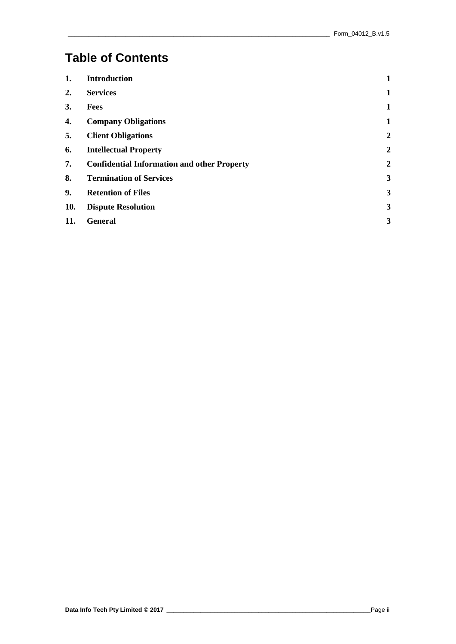### **Table of Contents**

| 1.  | <b>Introduction</b>                                | 1            |
|-----|----------------------------------------------------|--------------|
| 2.  | <b>Services</b>                                    | 1            |
| 3.  | <b>Fees</b>                                        | 1            |
| 4.  | <b>Company Obligations</b>                         | 1            |
| 5.  | <b>Client Obligations</b>                          | 2            |
| 6.  | <b>Intellectual Property</b>                       | 2            |
| 7.  | <b>Confidential Information and other Property</b> | 2            |
| 8.  | <b>Termination of Services</b>                     | $\mathbf{3}$ |
| 9.  | <b>Retention of Files</b>                          | 3            |
| 10. | <b>Dispute Resolution</b>                          | 3            |
| 11. | <b>General</b>                                     | 3            |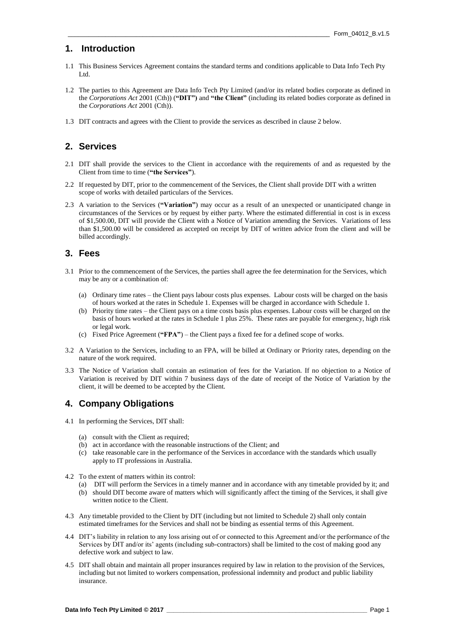#### **1. Introduction**

- 1.1 This Business Services Agreement contains the standard terms and conditions applicable to Data Info Tech Pty Ltd.
- 1.2 The parties to this Agreement are Data Info Tech Pty Limited (and/or its related bodies corporate as defined in the *Corporations Act* 2001 (Cth)) (**"DIT")** and **"the Client"** (including its related bodies corporate as defined in the *Corporations Act* 2001 (Cth)).
- 1.3 DIT contracts and agrees with the Client to provide the services as described in clause 2 below.

#### **2. Services**

- 2.1 DIT shall provide the services to the Client in accordance with the requirements of and as requested by the Client from time to time (**"the Services"**).
- 2.2 If requested by DIT, prior to the commencement of the Services, the Client shall provide DIT with a written scope of works with detailed particulars of the Services.
- 2.3 A variation to the Services (**"Variation"**) may occur as a result of an unexpected or unanticipated change in circumstances of the Services or by request by either party. Where the estimated differential in cost is in excess of \$1,500.00, DIT will provide the Client with a Notice of Variation amending the Services. Variations of less than \$1,500.00 will be considered as accepted on receipt by DIT of written advice from the client and will be billed accordingly.

#### **3. Fees**

- 3.1 Prior to the commencement of the Services, the parties shall agree the fee determination for the Services, which may be any or a combination of:
	- (a) Ordinary time rates the Client pays labour costs plus expenses. Labour costs will be charged on the basis of hours worked at the rates in Schedule 1. Expenses will be charged in accordance with Schedule 1.
	- (b) Priority time rates the Client pays on a time costs basis plus expenses. Labour costs will be charged on the basis of hours worked at the rates in Schedule 1 plus 25%. These rates are payable for emergency, high risk or legal work.
	- (c) Fixed Price Agreement (**"FPA"**) the Client pays a fixed fee for a defined scope of works.
- 3.2 A Variation to the Services, including to an FPA, will be billed at Ordinary or Priority rates, depending on the nature of the work required.
- 3.3 The Notice of Variation shall contain an estimation of fees for the Variation. If no objection to a Notice of Variation is received by DIT within 7 business days of the date of receipt of the Notice of Variation by the client, it will be deemed to be accepted by the Client.

#### **4. Company Obligations**

- 4.1 In performing the Services, DIT shall:
	- (a) consult with the Client as required;
	- (b) act in accordance with the reasonable instructions of the Client; and
	- (c) take reasonable care in the performance of the Services in accordance with the standards which usually apply to IT professions in Australia.
- 4.2 To the extent of matters within its control:
	- (a) DIT will perform the Services in a timely manner and in accordance with any timetable provided by it; and
	- (b) should DIT become aware of matters which will significantly affect the timing of the Services, it shall give written notice to the Client.
- 4.3 Any timetable provided to the Client by DIT (including but not limited to Schedule 2) shall only contain estimated timeframes for the Services and shall not be binding as essential terms of this Agreement.
- 4.4 DIT's liability in relation to any loss arising out of or connected to this Agreement and/or the performance of the Services by DIT and/or its' agents (including sub-contractors) shall be limited to the cost of making good any defective work and subject to law.
- 4.5 DIT shall obtain and maintain all proper insurances required by law in relation to the provision of the Services, including but not limited to workers compensation, professional indemnity and product and public liability insurance.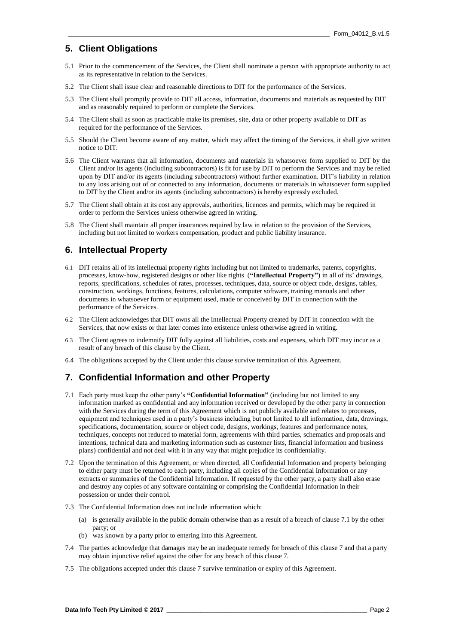#### **5. Client Obligations**

- 5.1 Prior to the commencement of the Services, the Client shall nominate a person with appropriate authority to act as its representative in relation to the Services.
- 5.2 The Client shall issue clear and reasonable directions to DIT for the performance of the Services.
- 5.3 The Client shall promptly provide to DIT all access, information, documents and materials as requested by DIT and as reasonably required to perform or complete the Services.
- 5.4 The Client shall as soon as practicable make its premises, site, data or other property available to DIT as required for the performance of the Services.
- 5.5 Should the Client become aware of any matter, which may affect the timing of the Services, it shall give written notice to DIT.
- 5.6 The Client warrants that all information, documents and materials in whatsoever form supplied to DIT by the Client and/or its agents (including subcontractors) is fit for use by DIT to perform the Services and may be relied upon by DIT and/or its agents (including subcontractors) without further examination. DIT's liability in relation to any loss arising out of or connected to any information, documents or materials in whatsoever form supplied to DIT by the Client and/or its agents (including subcontractors) is hereby expressly excluded.
- 5.7 The Client shall obtain at its cost any approvals, authorities, licences and permits, which may be required in order to perform the Services unless otherwise agreed in writing.
- 5.8 The Client shall maintain all proper insurances required by law in relation to the provision of the Services, including but not limited to workers compensation, product and public liability insurance.

#### **6. Intellectual Property**

- 6.1 DIT retains all of its intellectual property rights including but not limited to trademarks, patents, copyrights, processes, know-how, registered designs or other like rights (**"Intellectual Property")** in all of its' drawings, reports, specifications, schedules of rates, processes, techniques, data, source or object code, designs, tables, construction, workings, functions, features, calculations, computer software, training manuals and other documents in whatsoever form or equipment used, made or conceived by DIT in connection with the performance of the Services.
- 6.2 The Client acknowledges that DIT owns all the Intellectual Property created by DIT in connection with the Services, that now exists or that later comes into existence unless otherwise agreed in writing.
- 6.3 The Client agrees to indemnify DIT fully against all liabilities, costs and expenses, which DIT may incur as a result of any breach of this clause by the Client.
- 6.4 The obligations accepted by the Client under this clause survive termination of this Agreement.

#### **7. Confidential Information and other Property**

- 7.1 Each party must keep the other party's **"Confidential Information"** (including but not limited to any information marked as confidential and any information received or developed by the other party in connection with the Services during the term of this Agreement which is not publicly available and relates to processes, equipment and techniques used in a party's business including but not limited to all information, data, drawings, specifications, documentation, source or object code, designs, workings, features and performance notes, techniques, concepts not reduced to material form, agreements with third parties, schematics and proposals and intentions, technical data and marketing information such as customer lists, financial information and business plans) confidential and not deal with it in any way that might prejudice its confidentiality.
- 7.2 Upon the termination of this Agreement, or when directed, all Confidential Information and property belonging to either party must be returned to each party, including all copies of the Confidential Information or any extracts or summaries of the Confidential Information. If requested by the other party, a party shall also erase and destroy any copies of any software containing or comprising the Confidential Information in their possession or under their control.
- 7.3 The Confidential Information does not include information which:
	- (a) is generally available in the public domain otherwise than as a result of a breach of clause 7.1 by the other party; or
	- (b) was known by a party prior to entering into this Agreement.
- 7.4 The parties acknowledge that damages may be an inadequate remedy for breach of this clause 7 and that a party may obtain injunctive relief against the other for any breach of this clause 7.
- 7.5 The obligations accepted under this clause 7 survive termination or expiry of this Agreement.